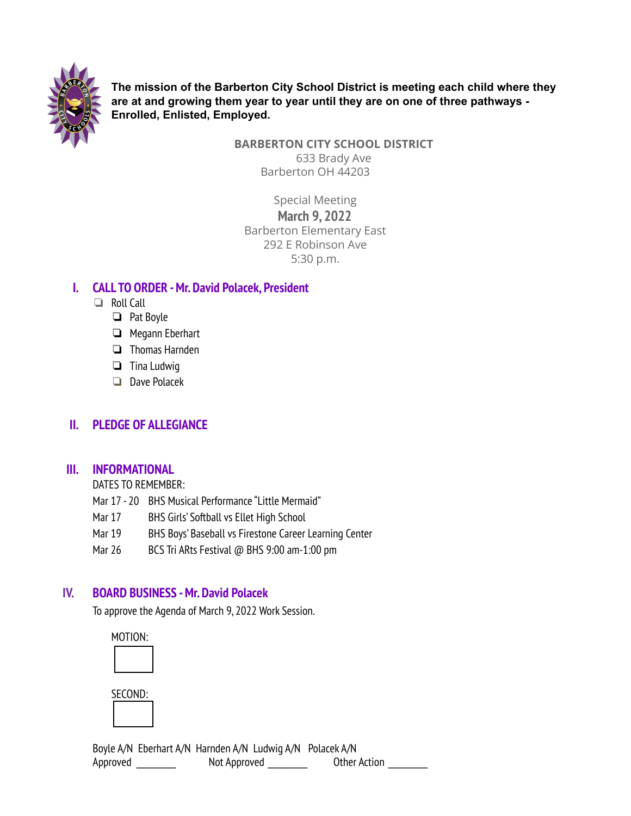

**The mission of the Barberton City School District is meeting each child where they are at and growing them year to year until they are on one of three pathways - Enrolled, Enlisted, Employed.**

**BARBERTON CITY SCHOOL DISTRICT**

633 Brady Ave Barberton OH 44203

Special Meeting **March 9, 2022** Barberton Elementary East 292 E Robinson Ave 5:30 p.m.

## **I. CALL TO ORDER -Mr. David Polacek, President**

- ❏ Roll Call
	- ❏ Pat Boyle
	- ❏ Megann Eberhart
	- ❏ Thomas Harnden
	- ❏ Tina Ludwig
	- ❏ Dave Polacek

# **II. PLEDGE OF ALLEGIANCE**

## **III. INFORMATIONAL**

DATES TO REMEMBER:

- Mar 17 20 BHS Musical Performance "Little Mermaid"
- Mar 17 BHS Girls' Softball vs Ellet High School
- Mar 19 BHS Boys' Baseball vs Firestone Career Learning Center
- Mar 26 BCS Tri ARts Festival @ BHS 9:00 am-1:00 pm

# **IV. BOARD BUSINESS -Mr. David Polacek**

To approve the Agenda of March 9, 2022 Work Session.

MOTION: